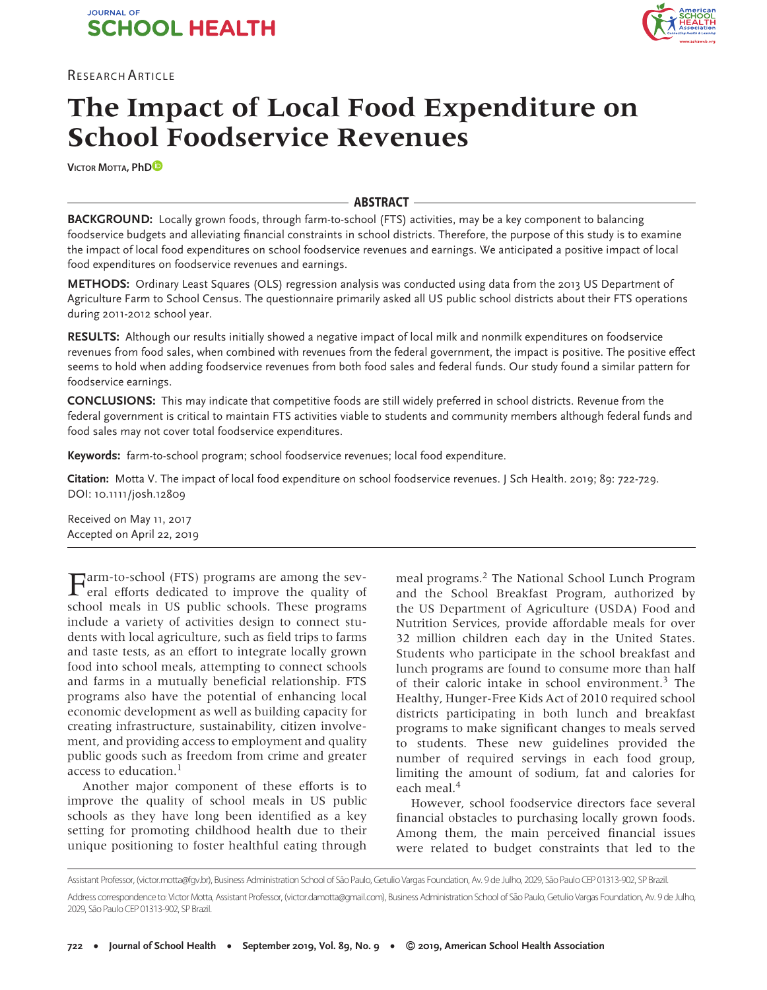



# **The Impact of Local Food Expenditure on School Foodservice Revenues**

**VICTOR MOTTA, Ph[D](https://orcid.org/0000-0002-9305-9663)**

# **ABSTRACT**

**BACKGROUND:** Locally grown foods, through farm-to-school (FTS) activities, may be a key component to balancing foodservice budgets and alleviating financial constraints in school districts. Therefore, the purpose of this study is to examine the impact of local food expenditures on school foodservice revenues and earnings. We anticipated a positive impact of local food expenditures on foodservice revenues and earnings.

**METHODS:** Ordinary Least Squares (OLS) regression analysis was conducted using data from the 2013 US Department of Agriculture Farm to School Census. The questionnaire primarily asked all US public school districts about their FTS operations during 2011-2012 school year.

**RESULTS:** Although our results initially showed a negative impact of local milk and nonmilk expenditures on foodservice revenues from food sales, when combined with revenues from the federal government, the impact is positive. The positive effect seems to hold when adding foodservice revenues from both food sales and federal funds. Our study found a similar pattern for foodservice earnings.

**CONCLUSIONS:** This may indicate that competitive foods are still widely preferred in school districts. Revenue from the federal government is critical to maintain FTS activities viable to students and community members although federal funds and food sales may not cover total foodservice expenditures.

**Keywords:** farm-to-school program; school foodservice revenues; local food expenditure.

**Citation:** Motta V. The impact of local food expenditure on school foodservice revenues. J Sch Health. 2019; 89: 722-729. DOI: 10.1111/josh.12809

Received on May 11, 2017 Accepted on April 22, 2019

Farm-to-school (FTS) programs are among the sev-eral efforts dedicated to improve the quality of school meals in US public schools. These programs include a variety of activities design to connect students with local agriculture, such as field trips to farms and taste tests, as an effort to integrate locally grown food into school meals, attempting to connect schools and farms in a mutually beneficial relationship. FTS programs also have the potential of enhancing local economic development as well as building capacity for creating infrastructure, sustainability, citizen involvement, and providing access to employment and quality public goods such as freedom from crime and greater access to education.<sup>1</sup>

Another major component of these efforts is to improve the quality of school meals in US public schools as they have long been identified as a key setting for promoting childhood health due to their unique positioning to foster healthful eating through meal programs.2 The National School Lunch Program and the School Breakfast Program, authorized by the US Department of Agriculture (USDA) Food and Nutrition Services, provide affordable meals for over 32 million children each day in the United States. Students who participate in the school breakfast and lunch programs are found to consume more than half of their caloric intake in school environment.3 The Healthy, Hunger-Free Kids Act of 2010 required school districts participating in both lunch and breakfast programs to make significant changes to meals served to students. These new guidelines provided the number of required servings in each food group, limiting the amount of sodium, fat and calories for each meal.<sup>4</sup>

However, school foodservice directors face several financial obstacles to purchasing locally grown foods. Among them, the main perceived financial issues were related to budget constraints that led to the

Assistant Professor, (victor.motta@fgv.br), Business Administration School of São Paulo, Getulio Vargas Foundation, Av. 9 de Julho, 2029, São Paulo CEP 01313-902, SP Brazil. Address correspondence to: Victor Motta, Assistant Professor, (victor.damotta@gmail.com), Business Administration School of São Paulo, Getulio Vargas Foundation, Av. 9 de Julho, 2029, São Paulo CEP 01313-902, SP Brazil.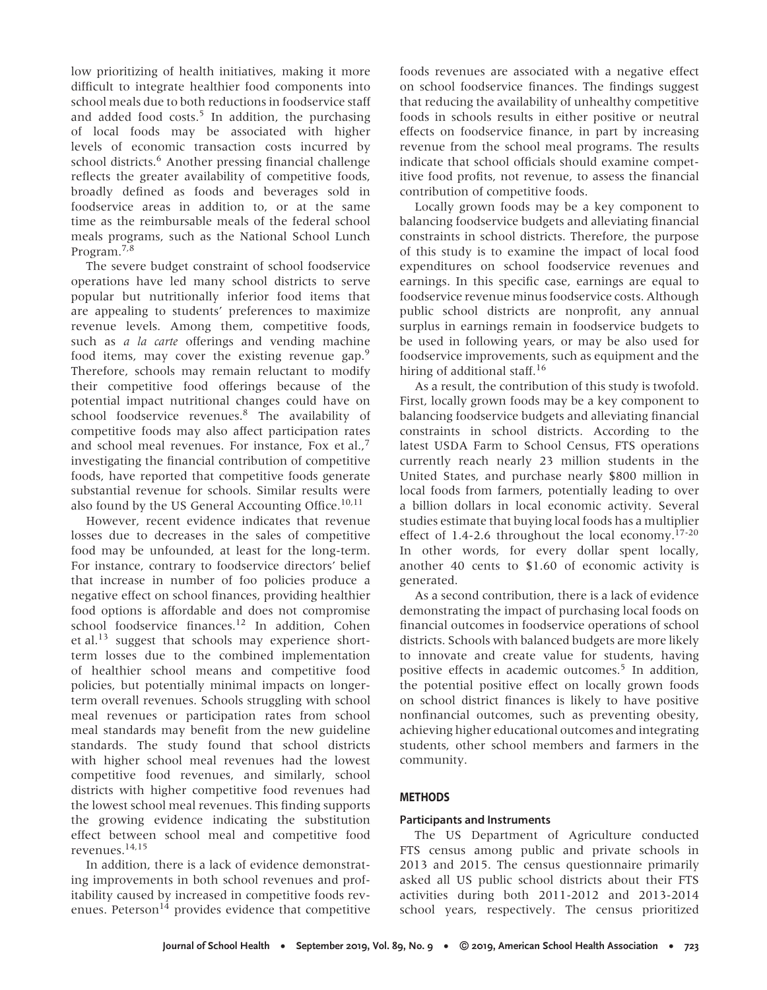low prioritizing of health initiatives, making it more difficult to integrate healthier food components into school meals due to both reductions in foodservice staff and added food costs.<sup>5</sup> In addition, the purchasing of local foods may be associated with higher levels of economic transaction costs incurred by school districts.<sup>6</sup> Another pressing financial challenge reflects the greater availability of competitive foods, broadly defined as foods and beverages sold in foodservice areas in addition to, or at the same time as the reimbursable meals of the federal school meals programs, such as the National School Lunch Program.7,8

The severe budget constraint of school foodservice operations have led many school districts to serve popular but nutritionally inferior food items that are appealing to students' preferences to maximize revenue levels. Among them, competitive foods, such as *a la carte* offerings and vending machine food items, may cover the existing revenue gap.<sup>9</sup> Therefore, schools may remain reluctant to modify their competitive food offerings because of the potential impact nutritional changes could have on school foodservice revenues.<sup>8</sup> The availability of competitive foods may also affect participation rates and school meal revenues. For instance, Fox et al., $^7$ investigating the financial contribution of competitive foods, have reported that competitive foods generate substantial revenue for schools. Similar results were also found by the US General Accounting Office. $10,11$ 

However, recent evidence indicates that revenue losses due to decreases in the sales of competitive food may be unfounded, at least for the long-term. For instance, contrary to foodservice directors' belief that increase in number of foo policies produce a negative effect on school finances, providing healthier food options is affordable and does not compromise school foodservice finances.<sup>12</sup> In addition, Cohen et al.<sup>13</sup> suggest that schools may experience shortterm losses due to the combined implementation of healthier school means and competitive food policies, but potentially minimal impacts on longerterm overall revenues. Schools struggling with school meal revenues or participation rates from school meal standards may benefit from the new guideline standards. The study found that school districts with higher school meal revenues had the lowest competitive food revenues, and similarly, school districts with higher competitive food revenues had the lowest school meal revenues. This finding supports the growing evidence indicating the substitution effect between school meal and competitive food revenues.14,15

In addition, there is a lack of evidence demonstrating improvements in both school revenues and profitability caused by increased in competitive foods revenues. Peterson $14$  provides evidence that competitive foods revenues are associated with a negative effect on school foodservice finances. The findings suggest that reducing the availability of unhealthy competitive foods in schools results in either positive or neutral effects on foodservice finance, in part by increasing revenue from the school meal programs. The results indicate that school officials should examine competitive food profits, not revenue, to assess the financial contribution of competitive foods.

Locally grown foods may be a key component to balancing foodservice budgets and alleviating financial constraints in school districts. Therefore, the purpose of this study is to examine the impact of local food expenditures on school foodservice revenues and earnings. In this specific case, earnings are equal to foodservice revenue minus foodservice costs. Although public school districts are nonprofit, any annual surplus in earnings remain in foodservice budgets to be used in following years, or may be also used for foodservice improvements, such as equipment and the hiring of additional staff.<sup>16</sup>

As a result, the contribution of this study is twofold. First, locally grown foods may be a key component to balancing foodservice budgets and alleviating financial constraints in school districts. According to the latest USDA Farm to School Census, FTS operations currently reach nearly 23 million students in the United States, and purchase nearly \$800 million in local foods from farmers, potentially leading to over a billion dollars in local economic activity. Several studies estimate that buying local foods has a multiplier effect of 1.4-2.6 throughout the local economy. $17-20$ In other words, for every dollar spent locally, another 40 cents to \$1.60 of economic activity is generated.

As a second contribution, there is a lack of evidence demonstrating the impact of purchasing local foods on financial outcomes in foodservice operations of school districts. Schools with balanced budgets are more likely to innovate and create value for students, having positive effects in academic outcomes.<sup>5</sup> In addition, the potential positive effect on locally grown foods on school district finances is likely to have positive nonfinancial outcomes, such as preventing obesity, achieving higher educational outcomes and integrating students, other school members and farmers in the community.

# **METHODS**

# **Participants and Instruments**

The US Department of Agriculture conducted FTS census among public and private schools in 2013 and 2015. The census questionnaire primarily asked all US public school districts about their FTS activities during both 2011-2012 and 2013-2014 school years, respectively. The census prioritized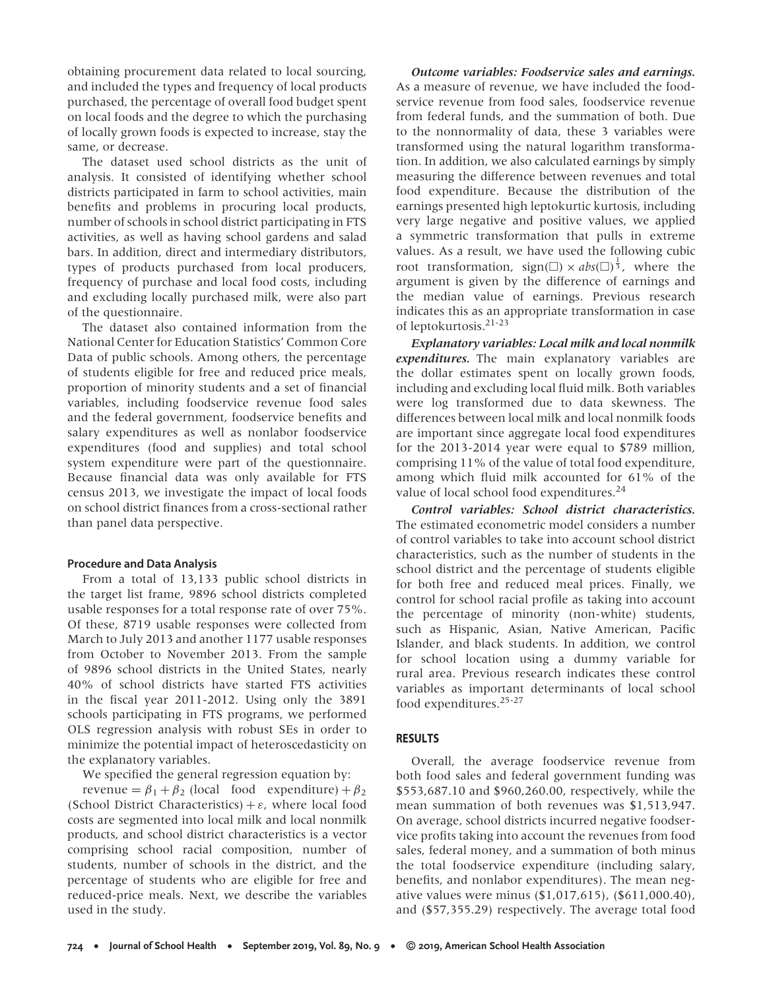obtaining procurement data related to local sourcing, and included the types and frequency of local products purchased, the percentage of overall food budget spent on local foods and the degree to which the purchasing of locally grown foods is expected to increase, stay the same, or decrease.

The dataset used school districts as the unit of analysis. It consisted of identifying whether school districts participated in farm to school activities, main benefits and problems in procuring local products, number of schools in school district participating in FTS activities, as well as having school gardens and salad bars. In addition, direct and intermediary distributors, types of products purchased from local producers, frequency of purchase and local food costs, including and excluding locally purchased milk, were also part of the questionnaire.

The dataset also contained information from the National Center for Education Statistics' Common Core Data of public schools. Among others, the percentage of students eligible for free and reduced price meals, proportion of minority students and a set of financial variables, including foodservice revenue food sales and the federal government, foodservice benefits and salary expenditures as well as nonlabor foodservice expenditures (food and supplies) and total school system expenditure were part of the questionnaire. Because financial data was only available for FTS census 2013, we investigate the impact of local foods on school district finances from a cross-sectional rather than panel data perspective.

#### **Procedure and Data Analysis**

From a total of 13,133 public school districts in the target list frame, 9896 school districts completed usable responses for a total response rate of over 75%. Of these, 8719 usable responses were collected from March to July 2013 and another 1177 usable responses from October to November 2013. From the sample of 9896 school districts in the United States, nearly 40% of school districts have started FTS activities in the fiscal year 2011-2012. Using only the 3891 schools participating in FTS programs, we performed OLS regression analysis with robust SEs in order to minimize the potential impact of heteroscedasticity on the explanatory variables.

We specified the general regression equation by:

revenue =  $\beta_1 + \beta_2$  (local food expenditure) +  $\beta_2$ (School District Characteristics) + *ε*, where local food costs are segmented into local milk and local nonmilk products, and school district characteristics is a vector comprising school racial composition, number of students, number of schools in the district, and the percentage of students who are eligible for free and reduced-price meals. Next, we describe the variables used in the study.

*Outcome variables: Foodservice sales and earnings.* As a measure of revenue, we have included the foodservice revenue from food sales, foodservice revenue from federal funds, and the summation of both. Due to the nonnormality of data, these 3 variables were transformed using the natural logarithm transformation. In addition, we also calculated earnings by simply measuring the difference between revenues and total food expenditure. Because the distribution of the earnings presented high leptokurtic kurtosis, including very large negative and positive values, we applied a symmetric transformation that pulls in extreme values. As a result, we have used the following cubic root transformation,  $sign(\square) \times abs(\square)^{\frac{1}{3}}$ , where the argument is given by the difference of earnings and the median value of earnings. Previous research indicates this as an appropriate transformation in case of leptokurtosis.21-23

*Explanatory variables: Local milk and local nonmilk expenditures.* The main explanatory variables are the dollar estimates spent on locally grown foods, including and excluding local fluid milk. Both variables were log transformed due to data skewness. The differences between local milk and local nonmilk foods are important since aggregate local food expenditures for the 2013-2014 year were equal to \$789 million, comprising 11% of the value of total food expenditure, among which fluid milk accounted for 61% of the value of local school food expenditures.<sup>24</sup>

*Control variables: School district characteristics.* The estimated econometric model considers a number of control variables to take into account school district characteristics, such as the number of students in the school district and the percentage of students eligible for both free and reduced meal prices. Finally, we control for school racial profile as taking into account the percentage of minority (non-white) students, such as Hispanic, Asian, Native American, Pacific Islander, and black students. In addition, we control for school location using a dummy variable for rural area. Previous research indicates these control variables as important determinants of local school food expenditures.25-27

# **RESULTS**

Overall, the average foodservice revenue from both food sales and federal government funding was \$553,687.10 and \$960,260.00, respectively, while the mean summation of both revenues was \$1,513,947. On average, school districts incurred negative foodservice profits taking into account the revenues from food sales, federal money, and a summation of both minus the total foodservice expenditure (including salary, benefits, and nonlabor expenditures). The mean negative values were minus (\$1,017,615), (\$611,000.40), and (\$57,355.29) respectively. The average total food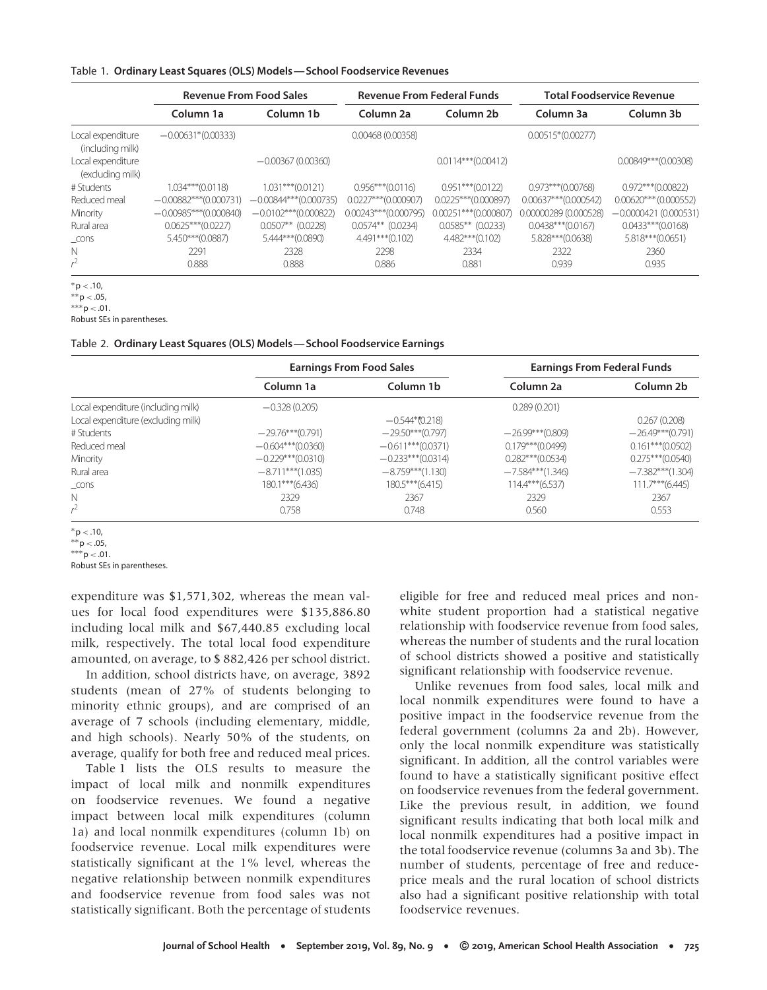#### Table 1. **Ordinary Least Squares (OLS) Models—School Foodservice Revenues**

|                                       | <b>Revenue From Food Sales</b> |                          | <b>Revenue From Federal Funds</b> |                         | <b>Total Foodservice Revenue</b> |                         |
|---------------------------------------|--------------------------------|--------------------------|-----------------------------------|-------------------------|----------------------------------|-------------------------|
|                                       | Column 1a                      | Column 1b                | Column <sub>2a</sub>              | Column 2b               | Column 3a                        | Column 3b               |
| Local expenditure<br>(including milk) | $-0.00631*(0.00333)$           |                          | 0.00468(0.00358)                  |                         | $0.00515*(0.00277)$              |                         |
| Local expenditure<br>(excluding milk) |                                | $-0.00367(0.00360)$      |                                   | $0.0114***(0.00412)$    |                                  | $0.00849***$ (0.00308)  |
| # Students                            | $1.034***$ (0.0118)            | $1.031***$ (0.0121)      | $0.956***$ (0.0116)               | $0.951***$ (0.0122)     | $0.973***$ (0.00768)             | $0.972***$ (0.00822)    |
| Reduced meal                          | $-0.00882***(0.000731)$        | $-0.00844***$ (0.000735) | $0.0227***$ (0.000907)            | $0.0225***$ (0.000897)  | $0.00637***$ (0.000542)          | $0.00620***$ (0.000552) |
| Minority                              | $-0.00985***(0.000840)$        | $-0.0102***$ (0.000822)  | $0.00243***$ (0.000795)           | $0.00251***$ (0.000807) | 0.00000289 (0.000528)            | $-0.0000421(0.000531)$  |
| Rural area                            | $0.0625***$ (0.0227)           | $0.0507**$ (0.0228)      | $0.0574**$ (0.0234)               | $0.0585**$ (0.0233)     | $0.0438***$ (0.0167)             | $0.0433***$ (0.0168)    |
| $\_cons$                              | 5.450***(0.0887)               | 5.444***(0.0890)         | 4.491***(0.102)                   | 4.482***(0.102)         | 5.828***(0.0638)                 | 5.818***(0.0651)        |
| N                                     | 2291                           | 2328                     | 2298                              | 2334                    | 2322                             | 2360                    |
| $r^2$                                 | 0.888                          | 0.888                    | 0.886                             | 0.881                   | 0.939                            | 0.935                   |

<sup>∗</sup>p *<* .10,

∗∗p *<* .05,

∗∗∗p *<* .01. Robust SEs in parentheses.

#### Table 2. **Ordinary Least Squares (OLS) Models—School Foodservice Earnings**

|                                    |                     | <b>Earnings From Food Sales</b> | <b>Earnings From Federal Funds</b> |                     |  |
|------------------------------------|---------------------|---------------------------------|------------------------------------|---------------------|--|
|                                    | Column 1a           | Column 1b                       | Column <sub>2a</sub>               | Column 2b           |  |
| Local expenditure (including milk) | $-0.328(0.205)$     |                                 | 0.289(0.201)                       |                     |  |
| Local expenditure (excluding milk) |                     | $-0.544*0.218$                  |                                    | 0.267(0.208)        |  |
| # Students                         | $-29.76***$ (0.791) | $-29.50***(0.797)$              | $-26.99***(0.809)$                 | $-26.49***(0.791)$  |  |
| Reduced meal                       | $-0.604***(0.0360)$ | $-0.611***(0.0371)$             | $0.179***$ (0.0499)                | $0.161***(0.0502)$  |  |
| Minority                           | $-0.229***(0.0310)$ | $-0.233***(0.0314)$             | $0.282***(0.0534)$                 | $0.275***(0.0540)$  |  |
| Rural area                         | $-8.711***$ (1.035) | $-8.759***(1.130)$              | $-7.584***$ (1.346)                | $-7.382***$ (1.304) |  |
| $\_cons$                           | 180.1***(6.436)     | 180.5***(6.415)                 | $114.4***$ (6.537)                 | $111.7***$ (6.445)  |  |
| N                                  | 2329                | 2367                            | 2329                               | 2367                |  |
| $r^2$                              | 0.758               | 0.748                           | 0.560                              | 0.553               |  |

<sup>∗</sup>p *<* .10,

Robust SEs in parentheses.

expenditure was \$1,571,302, whereas the mean values for local food expenditures were \$135,886.80 including local milk and \$67,440.85 excluding local milk, respectively. The total local food expenditure amounted, on average, to \$ 882,426 per school district.

In addition, school districts have, on average, 3892 students (mean of 27% of students belonging to minority ethnic groups), and are comprised of an average of 7 schools (including elementary, middle, and high schools). Nearly 50% of the students, on average, qualify for both free and reduced meal prices.

Table 1 lists the OLS results to measure the impact of local milk and nonmilk expenditures on foodservice revenues. We found a negative impact between local milk expenditures (column 1a) and local nonmilk expenditures (column 1b) on foodservice revenue. Local milk expenditures were statistically significant at the 1% level, whereas the negative relationship between nonmilk expenditures and foodservice revenue from food sales was not statistically significant. Both the percentage of students eligible for free and reduced meal prices and nonwhite student proportion had a statistical negative relationship with foodservice revenue from food sales, whereas the number of students and the rural location of school districts showed a positive and statistically significant relationship with foodservice revenue.

Unlike revenues from food sales, local milk and local nonmilk expenditures were found to have a positive impact in the foodservice revenue from the federal government (columns 2a and 2b). However, only the local nonmilk expenditure was statistically significant. In addition, all the control variables were found to have a statistically significant positive effect on foodservice revenues from the federal government. Like the previous result, in addition, we found significant results indicating that both local milk and local nonmilk expenditures had a positive impact in the total foodservice revenue (columns 3a and 3b). The number of students, percentage of free and reduceprice meals and the rural location of school districts also had a significant positive relationship with total foodservice revenues.

<sup>∗∗</sup>p *<* .05, ∗∗∗p *<* .01.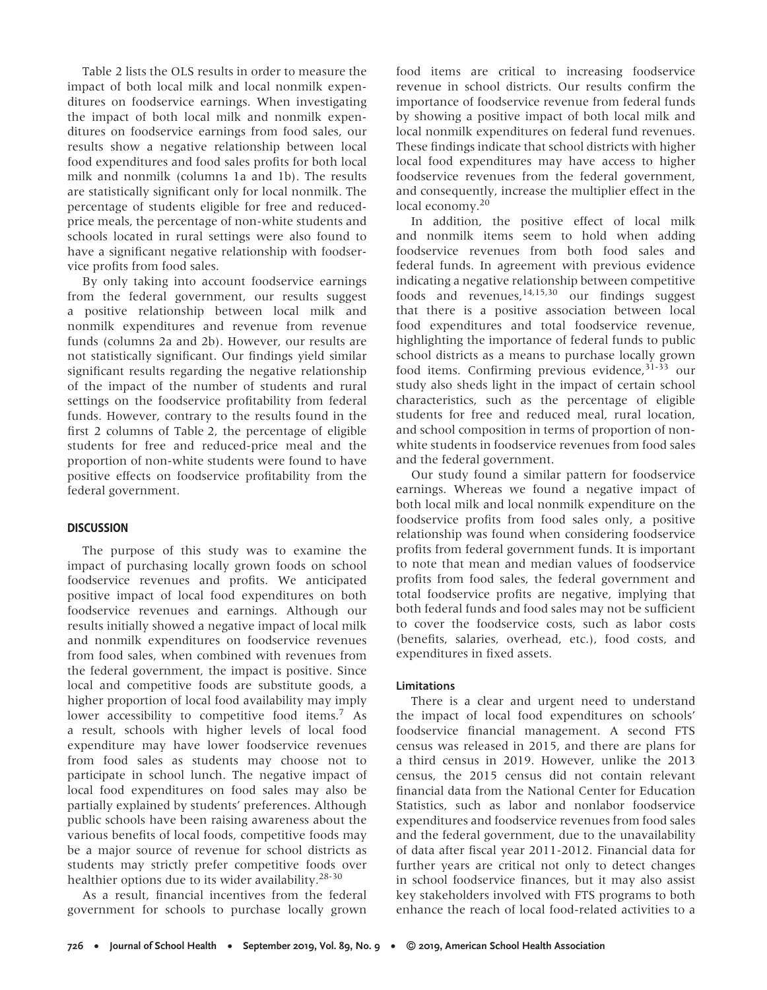Table 2 lists the OLS results in order to measure the impact of both local milk and local nonmilk expenditures on foodservice earnings. When investigating the impact of both local milk and nonmilk expenditures on foodservice earnings from food sales, our results show a negative relationship between local food expenditures and food sales profits for both local milk and nonmilk (columns 1a and 1b). The results are statistically significant only for local nonmilk. The percentage of students eligible for free and reducedprice meals, the percentage of non-white students and schools located in rural settings were also found to have a significant negative relationship with foodservice profits from food sales.

By only taking into account foodservice earnings from the federal government, our results suggest a positive relationship between local milk and nonmilk expenditures and revenue from revenue funds (columns 2a and 2b). However, our results are not statistically significant. Our findings yield similar significant results regarding the negative relationship of the impact of the number of students and rural settings on the foodservice profitability from federal funds. However, contrary to the results found in the first 2 columns of Table 2, the percentage of eligible students for free and reduced-price meal and the proportion of non-white students were found to have positive effects on foodservice profitability from the federal government.

# **DISCUSSION**

The purpose of this study was to examine the impact of purchasing locally grown foods on school foodservice revenues and profits. We anticipated positive impact of local food expenditures on both foodservice revenues and earnings. Although our results initially showed a negative impact of local milk and nonmilk expenditures on foodservice revenues from food sales, when combined with revenues from the federal government, the impact is positive. Since local and competitive foods are substitute goods, a higher proportion of local food availability may imply lower accessibility to competitive food items.<sup>7</sup> As a result, schools with higher levels of local food expenditure may have lower foodservice revenues from food sales as students may choose not to participate in school lunch. The negative impact of local food expenditures on food sales may also be partially explained by students' preferences. Although public schools have been raising awareness about the various benefits of local foods, competitive foods may be a major source of revenue for school districts as students may strictly prefer competitive foods over healthier options due to its wider availability.28-30

As a result, financial incentives from the federal government for schools to purchase locally grown food items are critical to increasing foodservice revenue in school districts. Our results confirm the importance of foodservice revenue from federal funds by showing a positive impact of both local milk and local nonmilk expenditures on federal fund revenues. These findings indicate that school districts with higher local food expenditures may have access to higher foodservice revenues from the federal government, and consequently, increase the multiplier effect in the local economy.<sup>20</sup>

In addition, the positive effect of local milk and nonmilk items seem to hold when adding foodservice revenues from both food sales and federal funds. In agreement with previous evidence indicating a negative relationship between competitive foods and revenues,  $14,15,30$  our findings suggest that there is a positive association between local food expenditures and total foodservice revenue, highlighting the importance of federal funds to public school districts as a means to purchase locally grown food items. Confirming previous evidence,  $31-33$  our study also sheds light in the impact of certain school characteristics, such as the percentage of eligible students for free and reduced meal, rural location, and school composition in terms of proportion of nonwhite students in foodservice revenues from food sales and the federal government.

Our study found a similar pattern for foodservice earnings. Whereas we found a negative impact of both local milk and local nonmilk expenditure on the foodservice profits from food sales only, a positive relationship was found when considering foodservice profits from federal government funds. It is important to note that mean and median values of foodservice profits from food sales, the federal government and total foodservice profits are negative, implying that both federal funds and food sales may not be sufficient to cover the foodservice costs, such as labor costs (benefits, salaries, overhead, etc.), food costs, and expenditures in fixed assets.

# **Limitations**

There is a clear and urgent need to understand the impact of local food expenditures on schools' foodservice financial management. A second FTS census was released in 2015, and there are plans for a third census in 2019. However, unlike the 2013 census, the 2015 census did not contain relevant financial data from the National Center for Education Statistics, such as labor and nonlabor foodservice expenditures and foodservice revenues from food sales and the federal government, due to the unavailability of data after fiscal year 2011-2012. Financial data for further years are critical not only to detect changes in school foodservice finances, but it may also assist key stakeholders involved with FTS programs to both enhance the reach of local food-related activities to a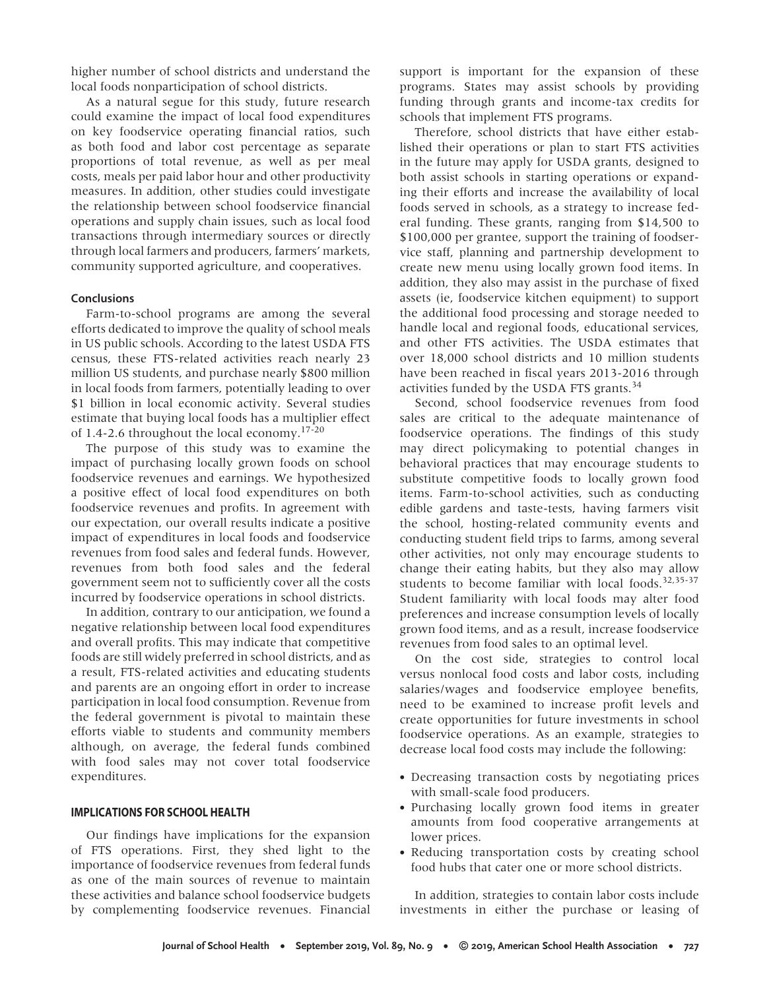higher number of school districts and understand the local foods nonparticipation of school districts.

As a natural segue for this study, future research could examine the impact of local food expenditures on key foodservice operating financial ratios, such as both food and labor cost percentage as separate proportions of total revenue, as well as per meal costs, meals per paid labor hour and other productivity measures. In addition, other studies could investigate the relationship between school foodservice financial operations and supply chain issues, such as local food transactions through intermediary sources or directly through local farmers and producers, farmers' markets, community supported agriculture, and cooperatives.

## **Conclusions**

Farm-to-school programs are among the several efforts dedicated to improve the quality of school meals in US public schools. According to the latest USDA FTS census, these FTS-related activities reach nearly 23 million US students, and purchase nearly \$800 million in local foods from farmers, potentially leading to over \$1 billion in local economic activity. Several studies estimate that buying local foods has a multiplier effect of 1.4-2.6 throughout the local economy.17-20

The purpose of this study was to examine the impact of purchasing locally grown foods on school foodservice revenues and earnings. We hypothesized a positive effect of local food expenditures on both foodservice revenues and profits. In agreement with our expectation, our overall results indicate a positive impact of expenditures in local foods and foodservice revenues from food sales and federal funds. However, revenues from both food sales and the federal government seem not to sufficiently cover all the costs incurred by foodservice operations in school districts.

In addition, contrary to our anticipation, we found a negative relationship between local food expenditures and overall profits. This may indicate that competitive foods are still widely preferred in school districts, and as a result, FTS-related activities and educating students and parents are an ongoing effort in order to increase participation in local food consumption. Revenue from the federal government is pivotal to maintain these efforts viable to students and community members although, on average, the federal funds combined with food sales may not cover total foodservice expenditures.

# **IMPLICATIONS FOR SCHOOL HEALTH**

Our findings have implications for the expansion of FTS operations. First, they shed light to the importance of foodservice revenues from federal funds as one of the main sources of revenue to maintain these activities and balance school foodservice budgets by complementing foodservice revenues. Financial support is important for the expansion of these programs. States may assist schools by providing funding through grants and income-tax credits for schools that implement FTS programs.

Therefore, school districts that have either established their operations or plan to start FTS activities in the future may apply for USDA grants, designed to both assist schools in starting operations or expanding their efforts and increase the availability of local foods served in schools, as a strategy to increase federal funding. These grants, ranging from \$14,500 to \$100,000 per grantee, support the training of foodservice staff, planning and partnership development to create new menu using locally grown food items. In addition, they also may assist in the purchase of fixed assets (ie, foodservice kitchen equipment) to support the additional food processing and storage needed to handle local and regional foods, educational services, and other FTS activities. The USDA estimates that over 18,000 school districts and 10 million students have been reached in fiscal years 2013-2016 through activities funded by the USDA FTS grants.<sup>34</sup>

Second, school foodservice revenues from food sales are critical to the adequate maintenance of foodservice operations. The findings of this study may direct policymaking to potential changes in behavioral practices that may encourage students to substitute competitive foods to locally grown food items. Farm-to-school activities, such as conducting edible gardens and taste-tests, having farmers visit the school, hosting-related community events and conducting student field trips to farms, among several other activities, not only may encourage students to change their eating habits, but they also may allow students to become familiar with local foods.32,35-37 Student familiarity with local foods may alter food preferences and increase consumption levels of locally grown food items, and as a result, increase foodservice revenues from food sales to an optimal level.

On the cost side, strategies to control local versus nonlocal food costs and labor costs, including salaries/wages and foodservice employee benefits, need to be examined to increase profit levels and create opportunities for future investments in school foodservice operations. As an example, strategies to decrease local food costs may include the following:

- Decreasing transaction costs by negotiating prices with small-scale food producers.
- Purchasing locally grown food items in greater amounts from food cooperative arrangements at lower prices.
- Reducing transportation costs by creating school food hubs that cater one or more school districts.

In addition, strategies to contain labor costs include investments in either the purchase or leasing of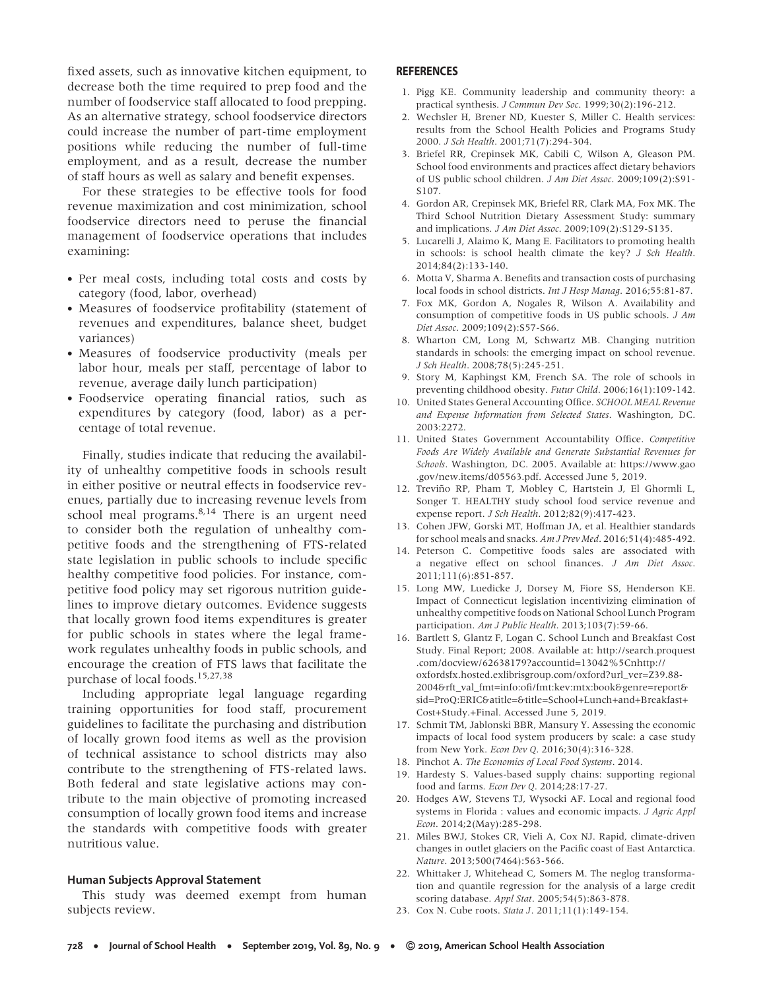fixed assets, such as innovative kitchen equipment, to decrease both the time required to prep food and the number of foodservice staff allocated to food prepping. As an alternative strategy, school foodservice directors could increase the number of part-time employment positions while reducing the number of full-time employment, and as a result, decrease the number of staff hours as well as salary and benefit expenses.

For these strategies to be effective tools for food revenue maximization and cost minimization, school foodservice directors need to peruse the financial management of foodservice operations that includes examining:

- Per meal costs, including total costs and costs by category (food, labor, overhead)
- Measures of foodservice profitability (statement of revenues and expenditures, balance sheet, budget variances)
- Measures of foodservice productivity (meals per labor hour, meals per staff, percentage of labor to revenue, average daily lunch participation)
- Foodservice operating financial ratios, such as expenditures by category (food, labor) as a percentage of total revenue.

Finally, studies indicate that reducing the availability of unhealthy competitive foods in schools result in either positive or neutral effects in foodservice revenues, partially due to increasing revenue levels from school meal programs. $8,14$  There is an urgent need to consider both the regulation of unhealthy competitive foods and the strengthening of FTS-related state legislation in public schools to include specific healthy competitive food policies. For instance, competitive food policy may set rigorous nutrition guidelines to improve dietary outcomes. Evidence suggests that locally grown food items expenditures is greater for public schools in states where the legal framework regulates unhealthy foods in public schools, and encourage the creation of FTS laws that facilitate the purchase of local foods.15,27,38

Including appropriate legal language regarding training opportunities for food staff, procurement guidelines to facilitate the purchasing and distribution of locally grown food items as well as the provision of technical assistance to school districts may also contribute to the strengthening of FTS-related laws. Both federal and state legislative actions may contribute to the main objective of promoting increased consumption of locally grown food items and increase the standards with competitive foods with greater nutritious value.

### **Human Subjects Approval Statement**

This study was deemed exempt from human subjects review.

## **REFERENCES**

- 1. Pigg KE. Community leadership and community theory: a practical synthesis. *J Commun Dev Soc*. 1999;30(2):196-212.
- 2. Wechsler H, Brener ND, Kuester S, Miller C. Health services: results from the School Health Policies and Programs Study 2000. *J Sch Health*. 2001;71(7):294-304.
- 3. Briefel RR, Crepinsek MK, Cabili C, Wilson A, Gleason PM. School food environments and practices affect dietary behaviors of US public school children. *J Am Diet Assoc*. 2009;109(2):S91- S107.
- 4. Gordon AR, Crepinsek MK, Briefel RR, Clark MA, Fox MK. The Third School Nutrition Dietary Assessment Study: summary and implications. *J Am Diet Assoc*. 2009;109(2):S129-S135.
- 5. Lucarelli J, Alaimo K, Mang E. Facilitators to promoting health in schools: is school health climate the key? *J Sch Health*. 2014;84(2):133-140.
- 6. Motta V, Sharma A. Benefits and transaction costs of purchasing local foods in school districts. *Int J Hosp Manag*. 2016;55:81-87.
- 7. Fox MK, Gordon A, Nogales R, Wilson A. Availability and consumption of competitive foods in US public schools. *J Am Diet Assoc*. 2009;109(2):S57-S66.
- 8. Wharton CM, Long M, Schwartz MB. Changing nutrition standards in schools: the emerging impact on school revenue. *J Sch Health*. 2008;78(5):245-251.
- 9. Story M, Kaphingst KM, French SA. The role of schools in preventing childhood obesity. *Futur Child*. 2006;16(1):109-142.
- 10. United States General Accounting Office. *SCHOOL MEAL Revenue and Expense Information from Selected States*. Washington, DC. 2003:2272.
- 11. United States Government Accountability Office. *Competitive Foods Are Widely Available and Generate Substantial Revenues for Schools*. Washington, DC. 2005. Available at: [https://www.gao](https://www.gao.gov/new.items/d05563.pdf) [.gov/new.items/d05563.pdf.](https://www.gao.gov/new.items/d05563.pdf) Accessed June 5, 2019.
- 12. Treviño RP, Pham T, Mobley C, Hartstein J, El Ghormli L, Songer T. HEALTHY study school food service revenue and expense report. *J Sch Health*. 2012;82(9):417-423.
- 13. Cohen JFW, Gorski MT, Hoffman JA, et al. Healthier standards for school meals and snacks. *Am J Prev Med*. 2016;51(4):485-492.
- 14. Peterson C. Competitive foods sales are associated with a negative effect on school finances. *J Am Diet Assoc*. 2011;111(6):851-857.
- 15. Long MW, Luedicke J, Dorsey M, Fiore SS, Henderson KE. Impact of Connecticut legislation incentivizing elimination of unhealthy competitive foods on National School Lunch Program participation. *Am J Public Health*. 2013;103(7):59-66.
- 16. Bartlett S, Glantz F, Logan C. School Lunch and Breakfast Cost Study. Final Report; 2008. Available at: [http://search.proquest](http://search.proquest.com/docview/62638179?accountid=13042%5Cnhttp://oxfordsfx.hosted.exlibrisgroup.com/oxford?url_ver=Z39.88-2004&rft_val_fmt=info:ofi/fmt:kev:mtx:book&genre=report&sid=ProQ:ERIC&atitle=&title=School+Lunch+and+Breakfast+Cost+Study.+Final) [.com/docview/62638179?accountid=13042%5Cnhttp://](http://search.proquest.com/docview/62638179?accountid=13042%5Cnhttp://oxfordsfx.hosted.exlibrisgroup.com/oxford?url_ver=Z39.88-2004&rft_val_fmt=info:ofi/fmt:kev:mtx:book&genre=report&sid=ProQ:ERIC&atitle=&title=School+Lunch+and+Breakfast+Cost+Study.+Final) [oxfordsfx.hosted.exlibrisgroup.com/oxford?url\\_ver=Z39.88-](http://search.proquest.com/docview/62638179?accountid=13042%5Cnhttp://oxfordsfx.hosted.exlibrisgroup.com/oxford?url_ver=Z39.88-2004&rft_val_fmt=info:ofi/fmt:kev:mtx:book&genre=report&sid=ProQ:ERIC&atitle=&title=School+Lunch+and+Breakfast+Cost+Study.+Final) [2004&rft\\_val\\_fmt=info:ofi/fmt:kev:mtx:book&genre=report&](http://search.proquest.com/docview/62638179?accountid=13042%5Cnhttp://oxfordsfx.hosted.exlibrisgroup.com/oxford?url_ver=Z39.88-2004&rft_val_fmt=info:ofi/fmt:kev:mtx:book&genre=report&sid=ProQ:ERIC&atitle=&title=School+Lunch+and+Breakfast+Cost+Study.+Final) [sid=ProQ:ERIC&atitle=&title=School+Lunch+and+Breakfast+](http://search.proquest.com/docview/62638179?accountid=13042%5Cnhttp://oxfordsfx.hosted.exlibrisgroup.com/oxford?url_ver=Z39.88-2004&rft_val_fmt=info:ofi/fmt:kev:mtx:book&genre=report&sid=ProQ:ERIC&atitle=&title=School+Lunch+and+Breakfast+Cost+Study.+Final) [Cost+Study.+Final.](http://search.proquest.com/docview/62638179?accountid=13042%5Cnhttp://oxfordsfx.hosted.exlibrisgroup.com/oxford?url_ver=Z39.88-2004&rft_val_fmt=info:ofi/fmt:kev:mtx:book&genre=report&sid=ProQ:ERIC&atitle=&title=School+Lunch+and+Breakfast+Cost+Study.+Final) Accessed June 5, 2019.
- 17. Schmit TM, Jablonski BBR, Mansury Y. Assessing the economic impacts of local food system producers by scale: a case study from New York. *Econ Dev Q*. 2016;30(4):316-328.
- 18. Pinchot A. *The Economics of Local Food Systems*. 2014.
- 19. Hardesty S. Values-based supply chains: supporting regional food and farms. *Econ Dev Q*. 2014;28:17-27.
- 20. Hodges AW, Stevens TJ, Wysocki AF. Local and regional food systems in Florida : values and economic impacts. *J Agric Appl Econ*. 2014;2(May):285-298.
- 21. Miles BWJ, Stokes CR, Vieli A, Cox NJ. Rapid, climate-driven changes in outlet glaciers on the Pacific coast of East Antarctica. *Nature*. 2013;500(7464):563-566.
- 22. Whittaker J, Whitehead C, Somers M. The neglog transformation and quantile regression for the analysis of a large credit scoring database. *Appl Stat*. 2005;54(5):863-878.
- 23. Cox N. Cube roots. *Stata J*. 2011;11(1):149-154.